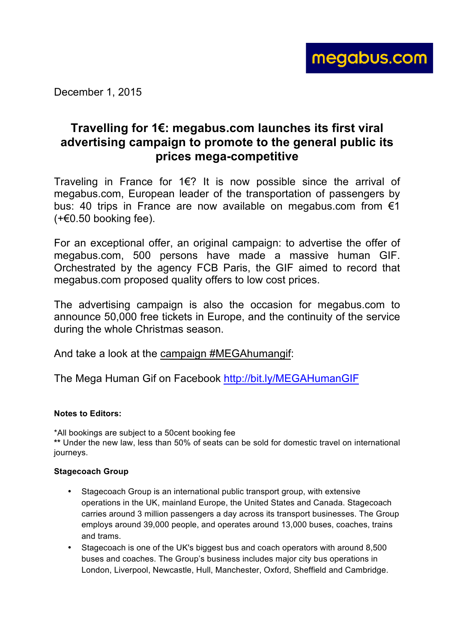

December 1, 2015

## **Travelling for 1€: megabus.com launches its first viral advertising campaign to promote to the general public its prices mega-competitive**

Traveling in France for 1€? It is now possible since the arrival of megabus.com, European leader of the transportation of passengers by bus: 40 trips in France are now available on megabus.com from €1  $(+60.50$  booking fee).

For an exceptional offer, an original campaign: to advertise the offer of megabus.com, 500 persons have made a massive human GIF. Orchestrated by the agency FCB Paris, the GIF aimed to record that megabus.com proposed quality offers to low cost prices.

The advertising campaign is also the occasion for megabus.com to announce 50,000 free tickets in Europe, and the continuity of the service during the whole Christmas season.

And take a look at the campaign #MEGAhumangif:

The Mega Human Gif on Facebook http://bit.ly/MEGAHumanGIF

## **Notes to Editors:**

\*All bookings are subject to a 50cent booking fee **\*\*** Under the new law, less than 50% of seats can be sold for domestic travel on international journeys.

## **Stagecoach Group**

- Stagecoach Group is an international public transport group, with extensive operations in the UK, mainland Europe, the United States and Canada. Stagecoach carries around 3 million passengers a day across its transport businesses. The Group employs around 39,000 people, and operates around 13,000 buses, coaches, trains and trams.
- Stagecoach is one of the UK's biggest bus and coach operators with around 8,500 buses and coaches. The Group's business includes major city bus operations in London, Liverpool, Newcastle, Hull, Manchester, Oxford, Sheffield and Cambridge.